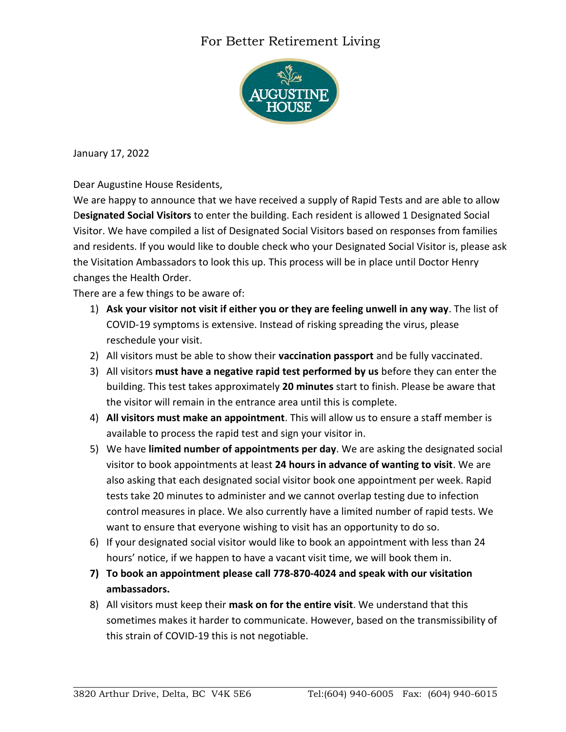## For Better Retirement Living



January 17, 2022

Dear Augustine House Residents,

We are happy to announce that we have received a supply of Rapid Tests and are able to allow D**esignated Social Visitors** to enter the building. Each resident is allowed 1 Designated Social Visitor. We have compiled a list of Designated Social Visitors based on responses from families and residents. If you would like to double check who your Designated Social Visitor is, please ask the Visitation Ambassadors to look this up. This process will be in place until Doctor Henry changes the Health Order.

There are a few things to be aware of:

- 1) **Ask your visitor not visit if either you or they are feeling unwell in any way**. The list of COVID-19 symptoms is extensive. Instead of risking spreading the virus, please reschedule your visit.
- 2) All visitors must be able to show their **vaccination passport** and be fully vaccinated.
- 3) All visitors **must have a negative rapid test performed by us** before they can enter the building. This test takes approximately **20 minutes** start to finish. Please be aware that the visitor will remain in the entrance area until this is complete.
- 4) **All visitors must make an appointment**. This will allow us to ensure a staff member is available to process the rapid test and sign your visitor in.
- 5) We have **limited number of appointments per day**. We are asking the designated social visitor to book appointments at least **24 hours in advance of wanting to visit**. We are also asking that each designated social visitor book one appointment per week. Rapid tests take 20 minutes to administer and we cannot overlap testing due to infection control measures in place. We also currently have a limited number of rapid tests. We want to ensure that everyone wishing to visit has an opportunity to do so.
- 6) If your designated social visitor would like to book an appointment with less than 24 hours' notice, if we happen to have a vacant visit time, we will book them in.
- **7) To book an appointment please call 778-870-4024 and speak with our visitation ambassadors.**
- 8) All visitors must keep their **mask on for the entire visit**. We understand that this sometimes makes it harder to communicate. However, based on the transmissibility of this strain of COVID-19 this is not negotiable.